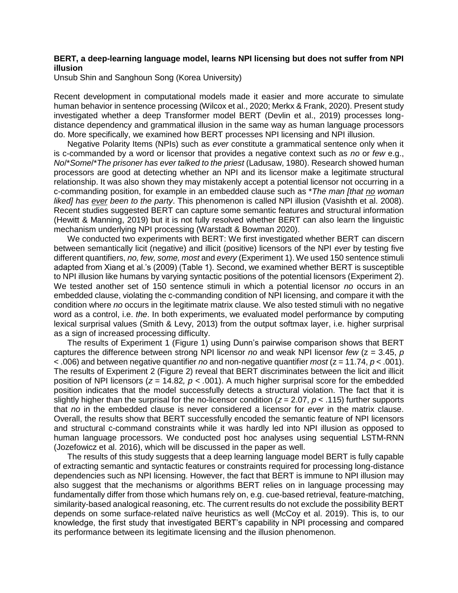## **BERT, a deep-learning language model, learns NPI licensing but does not suffer from NPI illusion**

Unsub Shin and Sanghoun Song (Korea University)

Recent development in computational models made it easier and more accurate to simulate human behavior in sentence processing (Wilcox et al., 2020; Merkx & Frank, 2020). Present study investigated whether a deep Transformer model BERT (Devlin et al., 2019) processes longdistance dependency and grammatical illusion in the same way as human language processors do. More specifically, we examined how BERT processes NPI licensing and NPI illusion.

Negative Polarity Items (NPIs) such as *ever* constitute a grammatical sentence only when it is c-commanded by a word or licensor that provides a negative context such as *no* or *few* e.g., *No*/\**Some*/\**The prisoner has ever talked to the priest* (Ladusaw, 1980). Research showed human processors are good at detecting whether an NPI and its licensor make a legitimate structural relationship. It was also shown they may mistakenly accept a potential licensor not occurring in a c-commanding position, for example in an embedded clause such as \**The man [that no woman liked] has ever been to the party*. This phenomenon is called NPI illusion (Vasishth et al. 2008). Recent studies suggested BERT can capture some semantic features and structural information (Hewitt & Manning, 2019) but it is not fully resolved whether BERT can also learn the linguistic mechanism underlying NPI processing (Warstadt & Bowman 2020).

We conducted two experiments with BERT: We first investigated whether BERT can discern between semantically licit (negative) and illicit (positive) licensors of the NPI *ever* by testing five different quantifiers, *no, few, some, most* and *every* (Experiment 1). We used 150 sentence stimuli adapted from Xiang et al.'s (2009) (Table 1). Second, we examined whether BERT is susceptible to NPI illusion like humans by varying syntactic positions of the potential licensors (Experiment 2). We tested another set of 150 sentence stimuli in which a potential licensor *no* occurs in an embedded clause, violating the c-commanding condition of NPI licensing, and compare it with the condition where *no* occurs in the legitimate matrix clause. We also tested stimuli with no negative word as a control, i.e. *the*. In both experiments, we evaluated model performance by computing lexical surprisal values (Smith & Levy, 2013) from the output softmax layer, i.e. higher surprisal as a sign of increased processing difficulty.

The results of Experiment 1 (Figure 1) using Dunn's pairwise comparison shows that BERT captures the difference between strong NPI licensor *no* and weak NPI licensor *few* (z = 3.45, *p* < .006) and between negative quantifier *no* and non-negative quantifier *most* (z = 11.74, *p* < .001). The results of Experiment 2 (Figure 2) reveal that BERT discriminates between the licit and illicit position of NPI licensors (*z* = 14.82*, p < .*001). A much higher surprisal score for the embedded position indicates that the model successfully detects a structural violation. The fact that it is slightly higher than the surprisal for the no-licensor condition (*z* = 2.07, *p* < .115) further supports that *no* in the embedded clause is never considered a licensor for *ever* in the matrix clause. Overall, the results show that BERT successfully encoded the semantic feature of NPI licensors and structural c-command constraints while it was hardly led into NPI illusion as opposed to human language processors. We conducted post hoc analyses using sequential LSTM-RNN (Jozefowicz et al. 2016), which will be discussed in the paper as well.

The results of this study suggests that a deep learning language model BERT is fully capable of extracting semantic and syntactic features or constraints required for processing long-distance dependencies such as NPI licensing. However, the fact that BERT is immune to NPI illusion may also suggest that the mechanisms or algorithms BERT relies on in language processing may fundamentally differ from those which humans rely on, e.g. cue-based retrieval, feature-matching, similarity-based analogical reasoning, etc. The current results do not exclude the possibility BERT depends on some surface-related naïve heuristics as well (McCoy et al. 2019). This is, to our knowledge, the first study that investigated BERT's capability in NPI processing and compared its performance between its legitimate licensing and the illusion phenomenon.